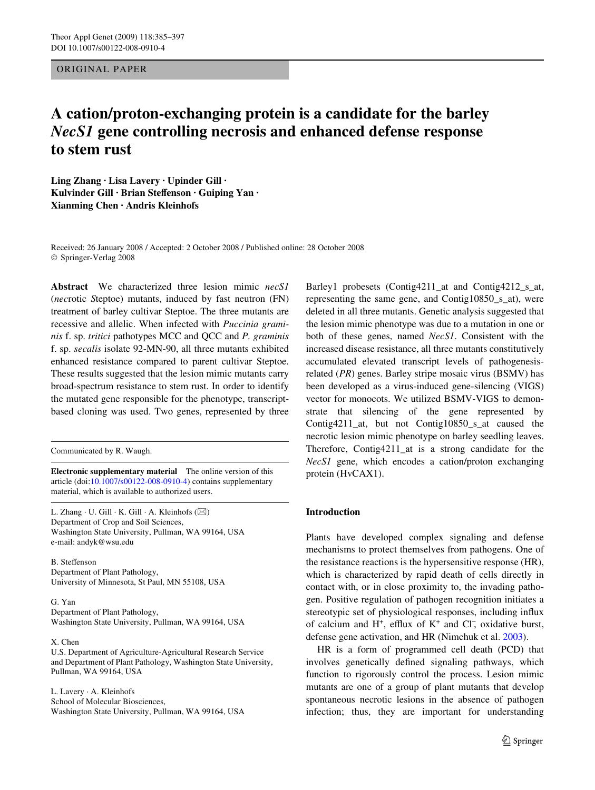ORIGINAL PAPER

# **A cation/proton-exchanging protein is a candidate for the barley**  *NecS1* **gene controlling necrosis and enhanced defense response to stem rust**

**Ling Zhang · Lisa Lavery · Upinder Gill ·**  Kulvinder Gill · Brian Steffenson · Guiping Yan · **Xianming Chen · Andris Kleinhofs** 

Received: 26 January 2008 / Accepted: 2 October 2008 / Published online: 28 October 2008 © Springer-Verlag 2008

**Abstract** We characterized three lesion mimic *necS1* (*nec*rotic *S*teptoe) mutants, induced by fast neutron (FN) treatment of barley cultivar Steptoe. The three mutants are recessive and allelic. When infected with *Puccinia graminis* f. sp. *tritici* pathotypes MCC and QCC and *P. graminis* f. sp. *secalis* isolate 92-MN-90, all three mutants exhibited enhanced resistance compared to parent cultivar Steptoe. These results suggested that the lesion mimic mutants carry broad-spectrum resistance to stem rust. In order to identify the mutated gene responsible for the phenotype, transcriptbased cloning was used. Two genes, represented by three

Communicated by R. Waugh.

**Electronic supplementary material** The online version of this article (doi[:10.1007/s00122-008-0910-4](http://dx.doi.org/10.1007/s00122-008-0910-4)) contains supplementary material, which is available to authorized users.

L. Zhang  $\cdot$  U. Gill  $\cdot$  K. Gill  $\cdot$  A. Kleinhofs ( $\boxtimes$ ) Department of Crop and Soil Sciences, Washington State University, Pullman, WA 99164, USA e-mail: andyk@wsu.edu

B. Steffenson Department of Plant Pathology, University of Minnesota, St Paul, MN 55108, USA

#### G. Yan

Department of Plant Pathology, Washington State University, Pullman, WA 99164, USA

#### X. Chen

U.S. Department of Agriculture-Agricultural Research Service and Department of Plant Pathology, Washington State University, Pullman, WA 99164, USA

L. Lavery · A. Kleinhofs School of Molecular Biosciences, Washington State University, Pullman, WA 99164, USA Barley1 probesets (Contig4211\_at and Contig4212\_s\_at, representing the same gene, and Contig10850\_s\_at), were deleted in all three mutants. Genetic analysis suggested that the lesion mimic phenotype was due to a mutation in one or both of these genes, named *NecS1*. Consistent with the increased disease resistance, all three mutants constitutively accumulated elevated transcript levels of pathogenesisrelated (*PR*) genes. Barley stripe mosaic virus (BSMV) has been developed as a virus-induced gene-silencing (VIGS) vector for monocots. We utilized BSMV-VIGS to demonstrate that silencing of the gene represented by Contig4211\_at, but not Contig10850\_s\_at caused the necrotic lesion mimic phenotype on barley seedling leaves. Therefore, Contig4211\_at is a strong candidate for the *NecS1* gene, which encodes a cation/proton exchanging protein (HvCAX1).

# **Introduction**

Plants have developed complex signaling and defense mechanisms to protect themselves from pathogens. One of the resistance reactions is the hypersensitive response (HR), which is characterized by rapid death of cells directly in contact with, or in close proximity to, the invading pathogen. Positive regulation of pathogen recognition initiates a stereotypic set of physiological responses, including influx of calcium and H<sup>+</sup>, efflux of K<sup>+</sup> and Cl<sup>-</sup>, oxidative burst, defense gene activation, and HR (Nimchuk et al. [2003](#page-12-0)).

HR is a form of programmed cell death (PCD) that involves genetically defined signaling pathways, which function to rigorously control the process. Lesion mimic mutants are one of a group of plant mutants that develop spontaneous necrotic lesions in the absence of pathogen infection; thus, they are important for understanding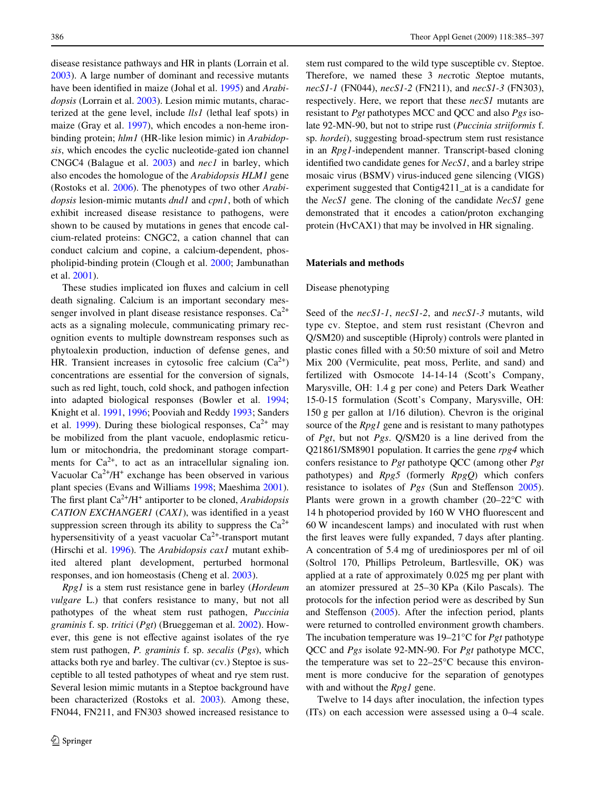disease resistance pathways and HR in plants (Lorrain et al. [2003](#page-12-1)). A large number of dominant and recessive mutants have been identified in maize (Johal et al. [1995](#page-11-0)) and *Arabidopsis* (Lorrain et al. [2003\)](#page-12-1). Lesion mimic mutants, characterized at the gene level, include *lls1* (lethal leaf spots) in maize (Gray et al. [1997](#page-11-1)), which encodes a non-heme ironbinding protein; *hlm1* (HR-like lesion mimic) in *Arabidopsis*, which encodes the cyclic nucleotide-gated ion channel CNGC4 (Balague et al. [2003\)](#page-11-2) and *nec1* in barley, which also encodes the homologue of the *Arabidopsis HLM1* gene (Rostoks et al. [2006](#page-12-2)). The phenotypes of two other *Arabidopsis* lesion-mimic mutants *dnd1* and *cpn1*, both of which exhibit increased disease resistance to pathogens, were shown to be caused by mutations in genes that encode calcium-related proteins: CNGC2, a cation channel that can conduct calcium and copine, a calcium-dependent, phospholipid-binding protein (Clough et al. [2000;](#page-11-3) Jambunathan et al. [2001\)](#page-11-4).

These studies implicated ion fluxes and calcium in cell death signaling. Calcium is an important secondary messenger involved in plant disease resistance responses.  $Ca^{2+}$ acts as a signaling molecule, communicating primary recognition events to multiple downstream responses such as phytoalexin production, induction of defense genes, and HR. Transient increases in cytosolic free calcium  $(Ca^{2+})$ concentrations are essential for the conversion of signals, such as red light, touch, cold shock, and pathogen infection into adapted biological responses (Bowler et al. [1994](#page-11-5); Knight et al. [1991,](#page-12-3) [1996](#page-12-4); Pooviah and Reddy [1993](#page-12-5); Sanders et al. [1999](#page-12-6)). During these biological responses,  $Ca^{2+}$  may be mobilized from the plant vacuole, endoplasmic reticulum or mitochondria, the predominant storage compartments for  $Ca^{2+}$ , to act as an intracellular signaling ion. Vacuolar  $Ca^{2+}/H^+$  exchange has been observed in various plant species (Evans and Williams [1998](#page-11-6); Maeshima [2001](#page-12-7)). The first plant Ca<sup>2+</sup>/H<sup>+</sup> antiporter to be cloned, *Arabidopsis CATION EXCHANGER1* (*CAX1*), was identified in a yeast suppression screen through its ability to suppress the  $Ca^{2+}$ hypersensitivity of a yeast vacuolar  $Ca^{2+}$ -transport mutant (Hirschi et al. [1996\)](#page-11-7). The *Arabidopsis cax1* mutant exhibited altered plant development, perturbed hormonal responses, and ion homeostasis (Cheng et al. [2003](#page-11-8)).

*Rpg1* is a stem rust resistance gene in barley (*Hordeum vulgare* L.) that confers resistance to many, but not all pathotypes of the wheat stem rust pathogen, *Puccinia graminis* f. sp. *tritici* (*Pgt*) (Brueggeman et al. [2002](#page-11-9)). However, this gene is not effective against isolates of the rye stem rust pathogen, *P. graminis* f. sp. *secalis* (*Pgs*), which attacks both rye and barley. The cultivar (cv.) Steptoe is susceptible to all tested pathotypes of wheat and rye stem rust. Several lesion mimic mutants in a Steptoe background have been characterized (Rostoks et al. [2003](#page-12-8)). Among these, FN044, FN211, and FN303 showed increased resistance to stem rust compared to the wild type susceptible cv. Steptoe. Therefore, we named these 3 *nec*rotic *S*teptoe mutants, *necS1-1* (FN044), *necS1-2* (FN211), and *necS1-3* (FN303), respectively. Here, we report that these *necS1* mutants are resistant to *Pgt* pathotypes MCC and QCC and also *Pgs* isolate 92-MN-90, but not to stripe rust (*Puccinia striiformis* f. sp. *hordei*), suggesting broad-spectrum stem rust resistance in an *Rpg1*-independent manner. Transcript-based cloning identified two candidate genes for *NecS1*, and a barley stripe mosaic virus (BSMV) virus-induced gene silencing (VIGS) experiment suggested that Contig4211\_at is a candidate for the *NecS1* gene. The cloning of the candidate *NecS1* gene demonstrated that it encodes a cation/proton exchanging protein (HvCAX1) that may be involved in HR signaling.

#### <span id="page-1-0"></span>**Materials and methods**

#### Disease phenotyping

Seed of the *necS1-1*, *necS1-2*, and *necS1-3* mutants, wild type cv. Steptoe, and stem rust resistant (Chevron and Q/SM20) and susceptible (Hiproly) controls were planted in plastic cones filled with a 50:50 mixture of soil and Metro Mix 200 (Vermiculite, peat moss, Perlite, and sand) and fertilized with Osmocote 14-14-14 (Scott's Company, Marysville, OH: 1.4 g per cone) and Peters Dark Weather 15-0-15 formulation (Scott's Company, Marysville, OH: 150 g per gallon at 1/16 dilution). Chevron is the original source of the *Rpg1* gene and is resistant to many pathotypes of *Pgt*, but not *Pgs*. Q/SM20 is a line derived from the Q21861/SM8901 population. It carries the gene *rpg4* which confers resistance to *Pgt* pathotype QCC (among other *Pgt* pathotypes) and *Rpg5* (formerly *RpgQ*) which confers resistance to isolates of *Pgs* (Sun and Steffenson [2005](#page-12-9)). Plants were grown in a growth chamber (20–22°C with 14 h photoperiod provided by 160 W VHO fluorescent and 60 W incandescent lamps) and inoculated with rust when the first leaves were fully expanded, 7 days after planting. A concentration of 5.4 mg of urediniospores per ml of oil (Soltrol 170, Phillips Petroleum, Bartlesville, OK) was applied at a rate of approximately 0.025 mg per plant with an atomizer pressured at 25–30 KPa (Kilo Pascals). The protocols for the infection period were as described by Sun and Steffenson  $(2005)$  $(2005)$ . After the infection period, plants were returned to controlled environment growth chambers. The incubation temperature was 19–21°C for *Pgt* pathotype QCC and *Pgs* isolate 92-MN-90. For *Pgt* pathotype MCC, the temperature was set to 22–25°C because this environment is more conducive for the separation of genotypes with and without the *Rpg1* gene.

Twelve to 14 days after inoculation, the infection types (ITs) on each accession were assessed using a 0–4 scale.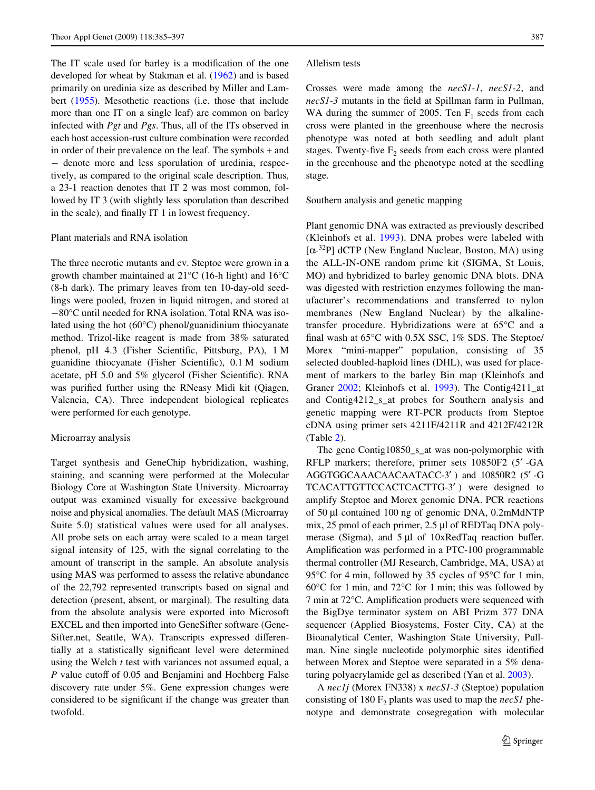The IT scale used for barley is a modification of the one developed for wheat by Stakman et al. [\(1962](#page-12-10)) and is based primarily on uredinia size as described by Miller and Lambert ([1955](#page-12-11)). Mesothetic reactions (i.e. those that include more than one IT on a single leaf) are common on barley infected with *Pgt* and *Pgs*. Thus, all of the ITs observed in each host accession-rust culture combination were recorded in order of their prevalence on the leaf. The symbols + and - denote more and less sporulation of uredinia, respectively, as compared to the original scale description. Thus, a 23-1 reaction denotes that IT 2 was most common, followed by IT 3 (with slightly less sporulation than described in the scale), and finally IT 1 in lowest frequency.

#### Plant materials and RNA isolation

The three necrotic mutants and cv. Steptoe were grown in a growth chamber maintained at 21°C (16-h light) and 16°C (8-h dark). The primary leaves from ten 10-day-old seedlings were pooled, frozen in liquid nitrogen, and stored at  $-80^{\circ}$ C until needed for RNA isolation. Total RNA was isolated using the hot (60°C) phenol/guanidinium thiocyanate method. Trizol-like reagent is made from 38% saturated phenol, pH 4.3 (Fisher Scientific, Pittsburg, PA), 1 M guanidine thiocyanate (Fisher Scientific),  $0.1 M$  sodium acetate, pH  $5.0$  and  $5\%$  glycerol (Fisher Scientific). RNA was purified further using the RNeasy Midi kit (Qiagen, Valencia, CA). Three independent biological replicates were performed for each genotype.

#### Microarray analysis

Target synthesis and GeneChip hybridization, washing, staining, and scanning were performed at the Molecular Biology Core at Washington State University. Microarray output was examined visually for excessive background noise and physical anomalies. The default MAS (Microarray Suite 5.0) statistical values were used for all analyses. All probe sets on each array were scaled to a mean target signal intensity of 125, with the signal correlating to the amount of transcript in the sample. An absolute analysis using MAS was performed to assess the relative abundance of the 22,792 represented transcripts based on signal and detection (present, absent, or marginal). The resulting data from the absolute analysis were exported into Microsoft EXCEL and then imported into GeneSifter software (Gene-Sifter.net, Seattle, WA). Transcripts expressed differentially at a statistically significant level were determined using the Welch *t* test with variances not assumed equal, a *P* value cutoff of 0.05 and Benjamini and Hochberg False discovery rate under 5%. Gene expression changes were considered to be significant if the change was greater than twofold.

#### Allelism tests

Crosses were made among the *necS1-1*, *necS1-2*, and *necS1-3* mutants in the field at Spillman farm in Pullman, WA during the summer of 2005. Ten  $F_1$  seeds from each cross were planted in the greenhouse where the necrosis phenotype was noted at both seedling and adult plant stages. Twenty-five  $F_2$  seeds from each cross were planted in the greenhouse and the phenotype noted at the seedling stage.

Southern analysis and genetic mapping

Plant genomic DNA was extracted as previously described (Kleinhofs et al. [1993\)](#page-11-10). DNA probes were labeled with [ $\alpha$ -<sup>32</sup>P] dCTP (New England Nuclear, Boston, MA) using the ALL-IN-ONE random prime kit (SIGMA, St Louis, MO) and hybridized to barley genomic DNA blots. DNA was digested with restriction enzymes following the manufacturer's recommendations and transferred to nylon membranes (New England Nuclear) by the alkalinetransfer procedure. Hybridizations were at 65°C and a final wash at  $65^{\circ}$ C with 0.5X SSC, 1% SDS. The Steptoe/ Morex "mini-mapper" population, consisting of 35 selected doubled-haploid lines (DHL), was used for placement of markers to the barley Bin map (Kleinhofs and Graner [2002;](#page-11-11) Kleinhofs et al. [1993](#page-11-10)). The Contig4211\_at and Contig4212\_s\_at probes for Southern analysis and genetic mapping were RT-PCR products from Steptoe cDNA using primer sets 4211F/4211R and 4212F/4212R (Table [2](#page-5-0)).

The gene Contig10850 s at was non-polymorphic with RFLP markers; therefore, primer sets 10850F2 (5′ -GA AGGTGGCAAACAACAATACC-3′ ) and 10850R2 (5′ -G TCACATTGTTCCACTCACTTG-3′ ) were designed to amplify Steptoe and Morex genomic DNA. PCR reactions of 50 µl contained 100 ng of genomic DNA, 0.2mMdNTP mix, 25 pmol of each primer, 2.5 µl of REDTaq DNA polymerase (Sigma), and  $5 \mu$ l of 10xRedTaq reaction buffer. Amplification was performed in a PTC-100 programmable thermal controller (MJ Research, Cambridge, MA, USA) at 95°C for 4 min, followed by 35 cycles of 95°C for 1 min, 60°C for 1 min, and 72°C for 1 min; this was followed by 7 min at  $72^{\circ}$ C. Amplification products were sequenced with the BigDye terminator system on ABI Prizm 377 DNA sequencer (Applied Biosystems, Foster City, CA) at the Bioanalytical Center, Washington State University, Pullman. Nine single nucleotide polymorphic sites identified between Morex and Steptoe were separated in a 5% denaturing polyacrylamide gel as described (Yan et al. [2003\)](#page-12-12).

A *nec1j* (Morex FN338) x *necS1-3* (Steptoe) population consisting of  $180 \text{ F}_2$  plants was used to map the *necS1* phenotype and demonstrate cosegregation with molecular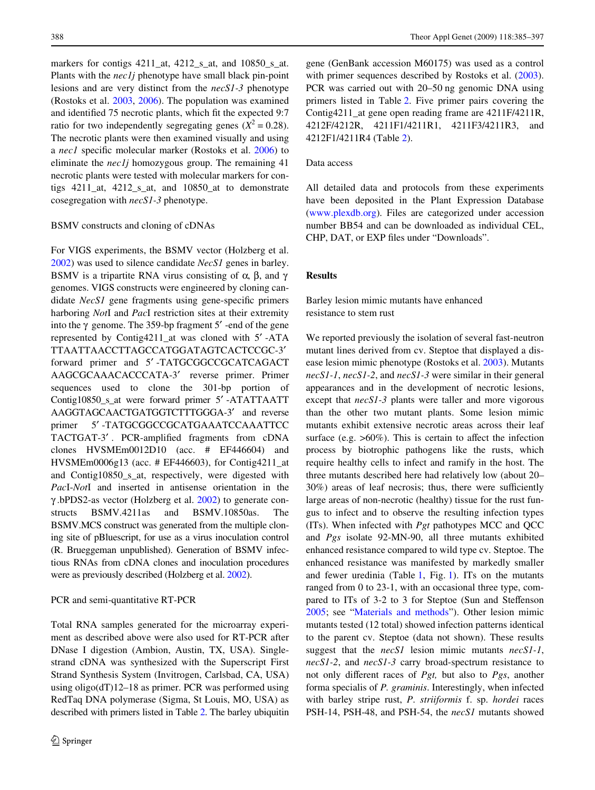markers for contigs 4211\_at, 4212\_s\_at, and 10850\_s\_at. Plants with the *nec1j* phenotype have small black pin-point lesions and are very distinct from the *necS1-3* phenotype (Rostoks et al. [2003,](#page-12-8) [2006](#page-12-2)). The population was examined and identified 75 necrotic plants, which fit the expected 9:7 ratio for two independently segregating genes  $(X^2 = 0.28)$ . The necrotic plants were then examined visually and using a *nec1* specific molecular marker (Rostoks et al. [2006](#page-12-2)) to eliminate the *nec1j* homozygous group. The remaining 41 necrotic plants were tested with molecular markers for contigs 4211\_at, 4212\_s\_at, and 10850\_at to demonstrate cosegregation with *necS1-3* phenotype.

#### BSMV constructs and cloning of cDNAs

For VIGS experiments, the BSMV vector (Holzberg et al. [2002](#page-11-12)) was used to silence candidate *NecS1* genes in barley. BSMV is a tripartite RNA virus consisting of  $\alpha$ ,  $\beta$ , and  $\gamma$ genomes. VIGS constructs were engineered by cloning candidate *NecS1* gene fragments using gene-specific primers harboring *Not*I and *Pac*I restriction sites at their extremity into the  $\gamma$  genome. The 359-bp fragment 5' -end of the gene represented by Contig4211\_at was cloned with 5′ -ATA TTAATTAACCTTAGCCATGGATAGTCACTCCGC-3′ forward primer and 5′ -TATGCGGCCGCATCAGACT AAGCGCAAACACCCATA-3′ reverse primer. Primer sequences used to clone the 301-bp portion of Contig10850\_s\_at were forward primer 5′ -ATATTAATT AAGGTAGCAACTGATGGTCTTTGGGA-3′ and reverse primer 5'-TATGCGGCCGCATGAAATCCAAATTCC TACTGAT-3'. PCR-amplified fragments from cDNA clones HVSMEm0012D10 (acc. # EF446604) and HVSMEm0006g13 (acc. # EF446603), for Contig4211\_at and Contig10850\_s\_at, respectively, were digested with *Pac*I-*Not*I and inserted in antisense orientation in the γ .bPDS2-as vector (Holzberg et al. [2002](#page-11-12)) to generate constructs BSMV.4211as and BSMV.10850as. The BSMV.MCS construct was generated from the multiple cloning site of pBluescript, for use as a virus inoculation control (R. Brueggeman unpublished). Generation of BSMV infectious RNAs from cDNA clones and inoculation procedures were as previously described (Holzberg et al. [2002\)](#page-11-12).

## PCR and semi-quantitative RT-PCR

Total RNA samples generated for the microarray experiment as described above were also used for RT-PCR after DNase I digestion (Ambion, Austin, TX, USA). Singlestrand cDNA was synthesized with the Superscript First Strand Synthesis System (Invitrogen, Carlsbad, CA, USA) using oligo(dT)12–18 as primer. PCR was performed using RedTaq DNA polymerase (Sigma, St Louis, MO, USA) as described with primers listed in Table [2](#page-5-0). The barley ubiquitin gene (GenBank accession M60175) was used as a control with primer sequences described by Rostoks et al.  $(2003)$  $(2003)$  $(2003)$ . PCR was carried out with 20–50 ng genomic DNA using primers listed in Table [2](#page-5-0). Five primer pairs covering the Contig4211\_at gene open reading frame are 4211F/4211R, 4212F/4212R, 4211F1/4211R1, 4211F3/4211R3, and 4212F1/4211R4 (Table [2](#page-5-0)).

## Data access

All detailed data and protocols from these experiments have been deposited in the Plant Expression Database [\(www.plexdb.org\)](http://www.plexdb.org). Files are categorized under accession number BB54 and can be downloaded as individual CEL, CHP, DAT, or EXP files under "Downloads".

## **Results**

# Barley lesion mimic mutants have enhanced resistance to stem rust

<span id="page-3-0"></span>We reported previously the isolation of several fast-neutron mutant lines derived from cv. Steptoe that displayed a disease lesion mimic phenotype (Rostoks et al. [2003](#page-12-8)). Mutants *necS1-1*, *necS1-2*, and *necS1-3* were similar in their general appearances and in the development of necrotic lesions, except that *necS1-3* plants were taller and more vigorous than the other two mutant plants. Some lesion mimic mutants exhibit extensive necrotic areas across their leaf surface (e.g.  $>60\%$ ). This is certain to affect the infection process by biotrophic pathogens like the rusts, which require healthy cells to infect and ramify in the host. The three mutants described here had relatively low (about 20–  $30\%$ ) areas of leaf necrosis; thus, there were sufficiently large areas of non-necrotic (healthy) tissue for the rust fungus to infect and to observe the resulting infection types (ITs). When infected with *Pgt* pathotypes MCC and QCC and *Pgs* isolate 92-MN-90, all three mutants exhibited enhanced resistance compared to wild type cv. Steptoe. The enhanced resistance was manifested by markedly smaller and fewer uredinia (Table [1](#page-4-0), Fig. [1](#page-3-0)). ITs on the mutants ranged from 0 to 23-1, with an occasional three type, compared to ITs of 3-2 to 3 for Steptoe (Sun and Steffenson [2005](#page-12-9); see "[Materials and methods](#page-1-0)"). Other lesion mimic mutants tested (12 total) showed infection patterns identical to the parent cv. Steptoe (data not shown). These results suggest that the *necS1* lesion mimic mutants *necS1-1*, *necS1-2*, and *necS1-3* carry broad-spectrum resistance to not only different races of *Pgt*, but also to *Pgs*, another forma specialis of *P. graminis*. Interestingly, when infected with barley stripe rust, *P*. *striiformis* f. sp. *hordei* races PSH-14, PSH-48, and PSH-54, the *necS1* mutants showed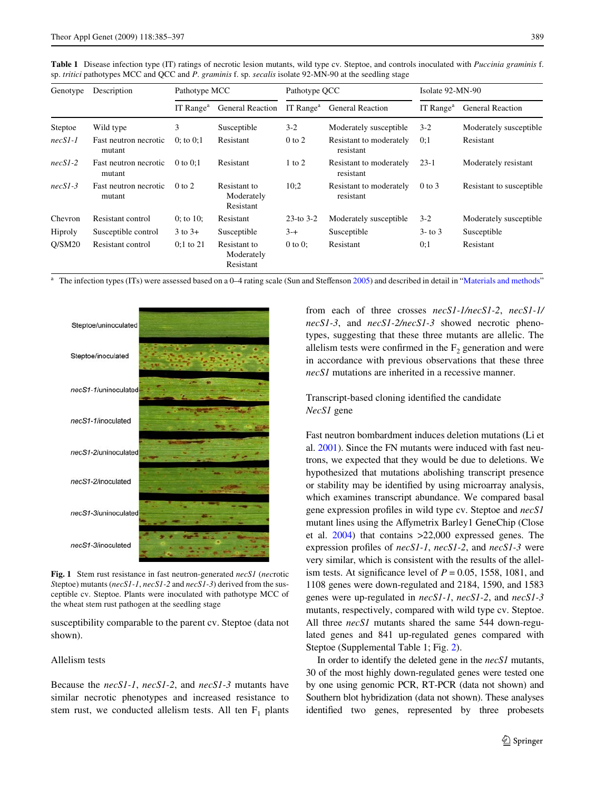<span id="page-4-0"></span>**Table 1** Disease infection type (IT) ratings of necrotic lesion mutants, wild type cv. Steptoe, and controls inoculated with *Puccinia graminis* f. sp. *tritici* pathotypes MCC and QCC and *P*. *graminis* f. sp. *secalis* isolate 92-MN-90 at the seedling stage

| Genotype  | Description                     | Pathotype MCC         |                                         | Pathotype QCC         |                                      | Isolate 92-MN-90      |                          |
|-----------|---------------------------------|-----------------------|-----------------------------------------|-----------------------|--------------------------------------|-----------------------|--------------------------|
|           |                                 | IT Range <sup>a</sup> | <b>General Reaction</b>                 | IT Range <sup>a</sup> | <b>General Reaction</b>              | IT Range <sup>a</sup> | <b>General Reaction</b>  |
| Steptoe   | Wild type                       | 3                     | Susceptible                             | $3-2$                 | Moderately susceptible               | $3 - 2$               | Moderately susceptible   |
| $necSI-I$ | Fast neutron necrotic<br>mutant | $0$ ; to $0:1$        | Resistant                               | $0$ to $2$            | Resistant to moderately<br>resistant | 0:1                   | Resistant                |
| $necS1-2$ | Fast neutron necrotic<br>mutant | $0$ to $0:1$          | Resistant                               | $1$ to $2$            | Resistant to moderately<br>resistant | $23-1$                | Moderately resistant     |
| $necS1-3$ | Fast neutron necrotic<br>mutant | $0$ to $2$            | Resistant to<br>Moderately<br>Resistant | 10:2                  | Resistant to moderately<br>resistant | $0$ to $3$            | Resistant to susceptible |
| Chevron   | Resistant control               | 0: to $10$ :          | Resistant                               | $23$ -to $3-2$        | Moderately susceptible               | $3-2$                 | Moderately susceptible   |
| Hiproly   | Susceptible control             | $3$ to $3+$           | Susceptible                             | $3 - +$               | Susceptible                          | $3 -$ to $3$          | Susceptible              |
| O/SM20    | Resistant control               | $0:1$ to 21           | Resistant to<br>Moderately<br>Resistant | $0$ to $0$ :          | Resistant                            | 0:1                   | Resistant                |

The infection types (ITs) were assessed based on a 0-4 rating scale (Sun and Steffenson [2005](#page-12-9)) and described in detail in "[Materials and methods](#page-1-0)"



**Fig. 1** Stem rust resistance in fast neutron-generated *necS1* (*nec*rotic *S*teptoe) mutants (*necS1-1*, *necS1-2* and *necS1-3*) derived from the susceptible cv. Steptoe. Plants were inoculated with pathotype MCC of the wheat stem rust pathogen at the seedling stage

susceptibility comparable to the parent cv. Steptoe (data not shown).

#### Allelism tests

Because the *necS1-1*, *necS1-2*, and *necS1-3* mutants have similar necrotic phenotypes and increased resistance to stem rust, we conducted allelism tests. All ten  $F_1$  plants from each of three crosses *necS1-1/necS1-2*, *necS1-1/ necS1-3*, and *necS1-2/necS1-3* showed necrotic phenotypes, suggesting that these three mutants are allelic. The allelism tests were confirmed in the  $F<sub>2</sub>$  generation and were in accordance with previous observations that these three *necS1* mutations are inherited in a recessive manner.

# Transcript-based cloning identified the candidate *NecS1* gene

<span id="page-4-1"></span>Fast neutron bombardment induces deletion mutations (Li et al. [2001](#page-12-13)). Since the FN mutants were induced with fast neutrons, we expected that they would be due to deletions. We hypothesized that mutations abolishing transcript presence or stability may be identified by using microarray analysis, which examines transcript abundance. We compared basal gene expression profiles in wild type cv. Steptoe and  $necSI$ mutant lines using the Affymetrix Barley1 GeneChip (Close et al. [2004](#page-11-13)) that contains >22,000 expressed genes. The expression profiles of *necS1-1*, *necS1-2*, and *necS1-3* were very similar, which is consistent with the results of the allelism tests. At significance level of  $P = 0.05$ , 1558, 1081, and 1108 genes were down-regulated and 2184, 1590, and 1583 genes were up-regulated in *necS1-1*, *necS1-2*, and *necS1-3* mutants, respectively, compared with wild type cv. Steptoe. All three *necS1* mutants shared the same 544 down-regulated genes and 841 up-regulated genes compared with Steptoe (Supplemental Table 1; Fig. [2](#page-4-1)).

<span id="page-4-2"></span>In order to identify the deleted gene in the *necS1* mutants, 30 of the most highly down-regulated genes were tested one by one using genomic PCR, RT-PCR (data not shown) and Southern blot hybridization (data not shown). These analyses identified two genes, represented by three probesets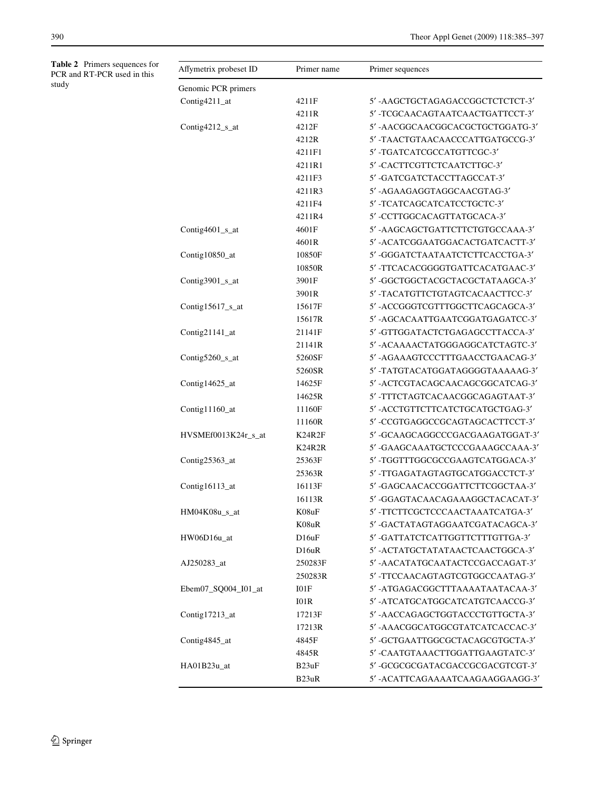<span id="page-5-0"></span>**Table 2** Primers sequences for PCR and RT-PCR used in this study

| Affymetrix probeset ID | Primer name       | Primer sequences                  |
|------------------------|-------------------|-----------------------------------|
| Genomic PCR primers    |                   |                                   |
| Contig4211_at          | 4211F             | 5' -AAGCTGCTAGAGACCGGCTCTCTCT-3'  |
|                        | 4211R             | 5'-TCGCAACAGTAATCAACTGATTCCT-3'   |
| Contig4212_s_at        | 4212F             | 5'-AACGGCAACGGCACGCTGCTGGATG-3'   |
|                        | 4212R             | 5'-TAACTGTAACAACCCATTGATGCCG-3'   |
|                        | 4211F1            | 5'-TGATCATCGCCATGTTCGC-3'         |
|                        | 4211R1            | 5' -CACTTCGTTCTCAATCTTGC-3'       |
|                        | 4211F3            | 5'-GATCGATCTACCTTAGCCAT-3'        |
|                        | 4211R3            | 5'-AGAAGAGGTAGGCAACGTAG-3'        |
|                        | 4211F4            | 5' -TCATCAGCATCATCCTGCTC-3'       |
|                        | 4211R4            | 5' -CCTTGGCACAGTTATGCACA-3'       |
| Contig4601_s_at        | 4601F             | 5'-AAGCAGCTGATTCTTCTGTGCCAAA-3'   |
|                        | 4601R             | 5'-ACATCGGAATGGACACTGATCACTT-3'   |
| Contig10850_at         | 10850F            | 5' -GGGATCTAATAATCTCTTCACCTGA-3'  |
|                        | 10850R            | 5' -TTCACACGGGGTGATTCACATGAAC-3'  |
| Contig3901_s_at        | 3901F             | 5' -GGCTGGCTACGCTACGCTATAAGCA-3'  |
|                        | 3901R             | 5' -TACATGTTCTGTAGTCACAACTTCC-3'  |
| Contig15617_s_at       | 15617F            | 5'-ACCGGGTCGTTTGGCTTCAGCAGCA-3'   |
|                        | 15617R            | 5'-AGCACAATTGAATCGGATGAGATCC-3'   |
| Contig21141_at         | 21141F            | 5'-GTTGGATACTCTGAGAGCCTTACCA-3'   |
|                        | 21141R            | 5' -ACAAAACTATGGGAGGCATCTAGTC-3'  |
| Contig5260_s_at        | 5260SF            | 5'-AGAAAGTCCCTTTGAACCTGAACAG-3'   |
|                        | 5260SR            | 5'-TATGTACATGGATAGGGGTAAAAAG-3'   |
| Contig14625_at         | 14625F            | 5' - ACTCGTACAGCAACAGCGGCATCAG-3' |
|                        | 14625R            | 5' -TTTCTAGTCACAACGGCAGAGTAAT-3'  |
| Contig11160_at         | 11160F            | 5'-ACCTGTTCTTCATCTGCATGCTGAG-3'   |
|                        | 11160R            | 5'-CCGTGAGGCCGCAGTAGCACTTCCT-3'   |
| HVSMEf0013K24r_s_at    | K24R2F            | 5'-GCAAGCAGGCCCGACGAAGATGGAT-3'   |
|                        | <b>K24R2R</b>     | 5'-GAAGCAAATGCTCCCGAAAGCCAAA-3'   |
| Contig25363_at         | 25363F            | 5' -TGGTTTGGCGCCGAAGTCATGGACA-3'  |
|                        | 25363R            | 5' -TTGAGATAGTAGTGCATGGACCTCT-3'  |
| Contig16113_at         | 16113F            | 5'-GAGCAACACCGGATTCTTCGGCTAA-3'   |
|                        | 16113R            | 5' -GGAGTACAACAGAAAGGCTACACAT-3'  |
| HM04K08u_s_at          | K08uF             | 5'-TTCTTCGCTCCCAACTAAATCATGA-3'   |
|                        | K08uR             | 5' -GACTATAGTAGGAATCGATACAGCA-3'  |
| HW06D16u_at            | D16uF             | 5'-GATTATCTCATTGGTTCTTTGTTGA-3'   |
|                        | D <sub>16uR</sub> | 5' - ACTATGCTATATAACTCAACTGGCA-3' |
| AJ250283_at            | 250283F           | 5'-AACATATGCAATACTCCGACCAGAT-3'   |
|                        | 250283R           | 5' -TTCCAACAGTAGTCGTGGCCAATAG-3'  |
| Ebem07_SQ004_I01_at    | I01F              | 5'-ATGAGACGGCTTTAAAATAATACAA-3'   |
|                        | I01R              | 5'-ATCATGCATGGCATCATGTCAACCG-3'   |
| Contig17213_at         | 17213F            | 5' -AACCAGAGCTGGTACCCTGTTGCTA-3'  |
|                        | 17213R            | 5'-AAACGGCATGGCGTATCATCACCAC-3'   |
| Contig4845_at          | 4845F             | 5'-GCTGAATTGGCGCTACAGCGTGCTA-3'   |
|                        | 4845R             | 5' -CAATGTAAACTTGGATTGAAGTATC-3'  |
| HA01B23u_at            | B23uF             | 5'-GCGCGCGATACGACCGCGACGTCGT-3'   |
|                        | B <sub>23uR</sub> | 5'-ACATTCAGAAAATCAAGAAGGAAGG-3'   |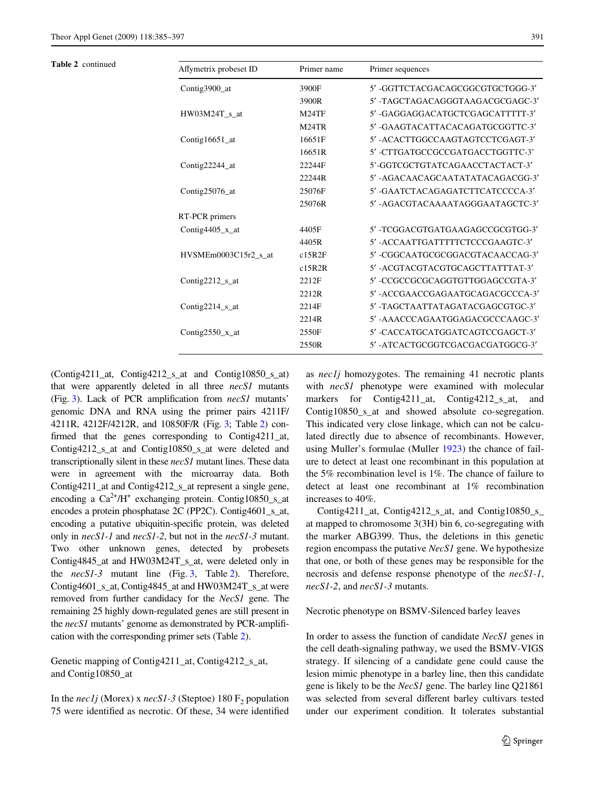| 5'-GGTTCTACGACAGCGGCGTGCTGGG-3'<br>Contig3900_at<br>3900F<br>5' -TAGCTAGACAGGGTAAGACGCGAGC-3'<br>3900R<br>5' -GAGGAGGACATGCTCGAGCATTTTT-3'<br>HW03M24T s at<br>M24TF<br>M <sub>24</sub> TR<br>5' -GAAGTACATTACACAGATGCGGTTC-3'<br>16651F<br>5' - ACACTTGGCCAAGTAGTCCTCGAGT-3'<br>Contig16651_at<br>16651R<br>5' -CTTGATGCCGCCGATGACCTGGTTC-3'<br>5'-GGTCGCTGTATCAGAACCTACTACT-3'<br>Contig22244_at<br>22244F<br>5' - AGACAACAGCAATATATACAGACGG-3'<br>22244R<br>5' -GAATCTACAGAGATCTTCATCCCCA-3'<br>25076F<br>Contig $25076$ <sub>_at</sub><br>5'-AGACGTACAAAATAGGGAATAGCTC-3'<br>25076R<br>RT-PCR primers<br>5' -TCGGACGTGATGAAGAGCCGCGTGG-3'<br>Contig4405 $x$ _at<br>4405F<br>5' - ACCAATTGATTTTTCTCCCGAAGTC-3'<br>4405R<br>5' -CGGCAATGCGCGGACGTACAACCAG-3'<br>HVSMEm0003C15r2 s at<br>c15R2F<br>5' - ACGTACGTACGTGCAGCTTATTTAT-3'<br>c15R2R<br>5' -CCGCCGCGCAGGTGTTGGAGCCGTA-3'<br>Contig2212_s_at<br>2212F<br>2212R<br>5'-TAGCTAATTATAGATACGAGCGTGC-3'<br>2214F<br>Contig2214_s_at<br>2214R<br>5' -CACCATGCATGGATCAGTCCGAGCT-3'<br>Contig2550 $x$ _at<br>2550F | Table 2 continued | Affymetrix probeset ID | Primer name | Primer sequences                |  |  |  |
|---------------------------------------------------------------------------------------------------------------------------------------------------------------------------------------------------------------------------------------------------------------------------------------------------------------------------------------------------------------------------------------------------------------------------------------------------------------------------------------------------------------------------------------------------------------------------------------------------------------------------------------------------------------------------------------------------------------------------------------------------------------------------------------------------------------------------------------------------------------------------------------------------------------------------------------------------------------------------------------------------------------------------------------------------------------------|-------------------|------------------------|-------------|---------------------------------|--|--|--|
|                                                                                                                                                                                                                                                                                                                                                                                                                                                                                                                                                                                                                                                                                                                                                                                                                                                                                                                                                                                                                                                                     |                   |                        |             |                                 |  |  |  |
|                                                                                                                                                                                                                                                                                                                                                                                                                                                                                                                                                                                                                                                                                                                                                                                                                                                                                                                                                                                                                                                                     |                   |                        |             |                                 |  |  |  |
|                                                                                                                                                                                                                                                                                                                                                                                                                                                                                                                                                                                                                                                                                                                                                                                                                                                                                                                                                                                                                                                                     |                   |                        |             |                                 |  |  |  |
|                                                                                                                                                                                                                                                                                                                                                                                                                                                                                                                                                                                                                                                                                                                                                                                                                                                                                                                                                                                                                                                                     |                   |                        |             |                                 |  |  |  |
|                                                                                                                                                                                                                                                                                                                                                                                                                                                                                                                                                                                                                                                                                                                                                                                                                                                                                                                                                                                                                                                                     |                   |                        |             |                                 |  |  |  |
|                                                                                                                                                                                                                                                                                                                                                                                                                                                                                                                                                                                                                                                                                                                                                                                                                                                                                                                                                                                                                                                                     |                   |                        |             |                                 |  |  |  |
|                                                                                                                                                                                                                                                                                                                                                                                                                                                                                                                                                                                                                                                                                                                                                                                                                                                                                                                                                                                                                                                                     |                   |                        |             |                                 |  |  |  |
|                                                                                                                                                                                                                                                                                                                                                                                                                                                                                                                                                                                                                                                                                                                                                                                                                                                                                                                                                                                                                                                                     |                   |                        |             |                                 |  |  |  |
|                                                                                                                                                                                                                                                                                                                                                                                                                                                                                                                                                                                                                                                                                                                                                                                                                                                                                                                                                                                                                                                                     |                   |                        |             |                                 |  |  |  |
|                                                                                                                                                                                                                                                                                                                                                                                                                                                                                                                                                                                                                                                                                                                                                                                                                                                                                                                                                                                                                                                                     |                   |                        |             |                                 |  |  |  |
|                                                                                                                                                                                                                                                                                                                                                                                                                                                                                                                                                                                                                                                                                                                                                                                                                                                                                                                                                                                                                                                                     |                   |                        |             |                                 |  |  |  |
|                                                                                                                                                                                                                                                                                                                                                                                                                                                                                                                                                                                                                                                                                                                                                                                                                                                                                                                                                                                                                                                                     |                   |                        |             |                                 |  |  |  |
|                                                                                                                                                                                                                                                                                                                                                                                                                                                                                                                                                                                                                                                                                                                                                                                                                                                                                                                                                                                                                                                                     |                   |                        |             |                                 |  |  |  |
|                                                                                                                                                                                                                                                                                                                                                                                                                                                                                                                                                                                                                                                                                                                                                                                                                                                                                                                                                                                                                                                                     |                   |                        |             |                                 |  |  |  |
|                                                                                                                                                                                                                                                                                                                                                                                                                                                                                                                                                                                                                                                                                                                                                                                                                                                                                                                                                                                                                                                                     |                   |                        |             |                                 |  |  |  |
|                                                                                                                                                                                                                                                                                                                                                                                                                                                                                                                                                                                                                                                                                                                                                                                                                                                                                                                                                                                                                                                                     |                   |                        |             |                                 |  |  |  |
|                                                                                                                                                                                                                                                                                                                                                                                                                                                                                                                                                                                                                                                                                                                                                                                                                                                                                                                                                                                                                                                                     |                   |                        |             | 5'-ACCGAACCGAGAATGCAGACGCCCA-3' |  |  |  |
|                                                                                                                                                                                                                                                                                                                                                                                                                                                                                                                                                                                                                                                                                                                                                                                                                                                                                                                                                                                                                                                                     |                   |                        |             |                                 |  |  |  |
|                                                                                                                                                                                                                                                                                                                                                                                                                                                                                                                                                                                                                                                                                                                                                                                                                                                                                                                                                                                                                                                                     |                   |                        |             | 5'-AAACCCAGAATGGAGACGCCCAAGC-3' |  |  |  |
|                                                                                                                                                                                                                                                                                                                                                                                                                                                                                                                                                                                                                                                                                                                                                                                                                                                                                                                                                                                                                                                                     |                   |                        |             |                                 |  |  |  |
|                                                                                                                                                                                                                                                                                                                                                                                                                                                                                                                                                                                                                                                                                                                                                                                                                                                                                                                                                                                                                                                                     |                   |                        | 2550R       | 5'-ATCACTGCGGTCGACGACGATGGCG-3' |  |  |  |

(Contig4211\_at, Contig4212\_s\_at and Contig10850\_s\_at) that were apparently deleted in all three *necS1* mutants (Fig. [3\)](#page-4-2). Lack of PCR amplification from *necS1* mutants' genomic DNA and RNA using the primer pairs 4211F/ 4211R, 4212F/4212R, and 10850F/R (Fig. [3](#page-4-2); Table [2\)](#page-5-0) confirmed that the genes corresponding to Contig4211\_at, Contig4212\_s\_at and Contig10850\_s\_at were deleted and transcriptionally silent in these *necS1* mutant lines. These data were in agreement with the microarray data. Both Contig4211\_at and Contig4212\_s\_at represent a single gene, encoding a  $Ca^{2+}/H^+$  exchanging protein. Contig10850\_s\_at encodes a protein phosphatase 2C (PP2C). Contig4601\_s\_at, encoding a putative ubiquitin-specific protein, was deleted only in *necS1-1* and *necS1-2*, but not in the *necS1-3* mutant. Two other unknown genes, detected by probesets Contig4845\_at and HW03M24T\_s\_at, were deleted only in the *necS1-3* mutant line (Fig. [3,](#page-4-2) Table [2\)](#page-5-0). Therefore, Contig4601\_s\_at, Contig4845\_at and HW03M24T\_s\_at were removed from further candidacy for the *NecS1* gene. The remaining 25 highly down-regulated genes are still present in the  $necS1$  mutants' genome as demonstrated by PCR-amplification with the corresponding primer sets (Table [2](#page-5-0)).

Genetic mapping of Contig4211\_at, Contig4212\_s\_at, and Contig10850\_at

In the *nec1j* (Morex) x  $\textit{necS1-3}$  (Steptoe) 180 F<sub>2</sub> population 75 were identified as necrotic. Of these, 34 were identified

as *nec1j* homozygotes. The remaining 41 necrotic plants with *necS1* phenotype were examined with molecular markers for Contig4211\_at, Contig4212\_s\_at, and Contig10850\_s\_at and showed absolute co-segregation. This indicated very close linkage, which can not be calculated directly due to absence of recombinants. However, using Muller's formulae (Muller [1923](#page-12-14)) the chance of failure to detect at least one recombinant in this population at the 5% recombination level is 1%. The chance of failure to detect at least one recombinant at 1% recombination increases to 40%.

Contig4211\_at, Contig4212\_s\_at, and Contig10850\_s\_ at mapped to chromosome 3(3H) bin 6, co-segregating with the marker ABG399. Thus, the deletions in this genetic region encompass the putative *NecS1* gene. We hypothesize that one, or both of these genes may be responsible for the necrosis and defense response phenotype of the *necS1-1*, *necS1-2*, and *necS1-3* mutants.

Necrotic phenotype on BSMV-Silenced barley leaves

<span id="page-6-0"></span>In order to assess the function of candidate *NecS1* genes in the cell death-signaling pathway, we used the BSMV-VIGS strategy. If silencing of a candidate gene could cause the lesion mimic phenotype in a barley line, then this candidate gene is likely to be the *NecS1* gene. The barley line Q21861 was selected from several different barley cultivars tested under our experiment condition. It tolerates substantial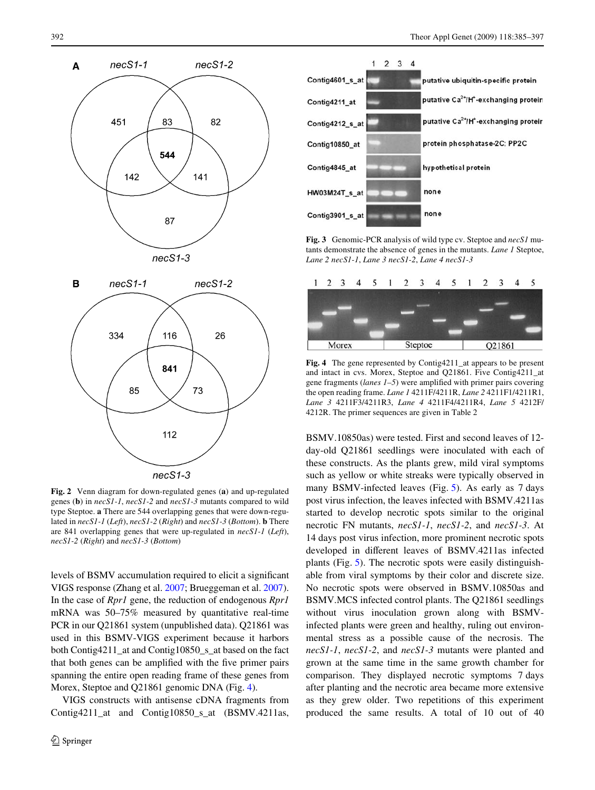

**Fig. 2** Venn diagram for down-regulated genes (**a**) and up-regulated genes (**b**) in *necS1-1*, *necS1-2* and *necS1-3* mutants compared to wild type Steptoe. **a** There are 544 overlapping genes that were down-regulated in *necS1-1* (*Left*), *necS1-2* (*Right*) and *necS1-3* (*Bottom*). **b** There are 841 overlapping genes that were up-regulated in *necS1-1* (*Left*), *necS1-2* (*Right*) and *necS1-3* (*Bottom*)

levels of BSMV accumulation required to elicit a significant VIGS response (Zhang et al. [2007;](#page-12-15) Brueggeman et al. [2007](#page-11-14)). In the case of *Rpr1* gene, the reduction of endogenous *Rpr1* mRNA was 50–75% measured by quantitative real-time PCR in our Q21861 system (unpublished data). Q21861 was used in this BSMV-VIGS experiment because it harbors both Contig4211\_at and Contig10850\_s\_at based on the fact that both genes can be amplified with the five primer pairs spanning the entire open reading frame of these genes from Morex, Steptoe and Q21861 genomic DNA (Fig. [4](#page-6-0)).

<span id="page-7-0"></span>VIGS constructs with antisense cDNA fragments from Contig4211\_at and Contig10850\_s\_at (BSMV.4211as,



**Fig. 3** Genomic-PCR analysis of wild type cv. Steptoe and *necS1* mutants demonstrate the absence of genes in the mutants. *Lane 1* Steptoe, *Lane 2 necS1-1*, *Lane 3 necS1-2*, *Lane 4 necS1-3*



**Fig. 4** The gene represented by Contig4211\_at appears to be present and intact in cvs. Morex, Steptoe and Q21861. Five Contig4211\_at gene fragments (*lanes 1–5*) were amplified with primer pairs covering the open reading frame. *Lane 1* 4211F/4211R, *Lane 2* 4211F1/4211R1, *Lane 3* 4211F3/4211R3, *Lane 4* 4211F4/4211R4, *Lane 5* 4212F/ 4212R. The primer sequences are given in Table 2

BSMV.10850as) were tested. First and second leaves of 12 day-old Q21861 seedlings were inoculated with each of these constructs. As the plants grew, mild viral symptoms such as yellow or white streaks were typically observed in many BSMV-infected leaves (Fig. [5](#page-7-0)). As early as 7 days post virus infection, the leaves infected with BSMV.4211as started to develop necrotic spots similar to the original necrotic FN mutants, *necS1-1*, *necS1-2*, and *necS1-3*. At 14 days post virus infection, more prominent necrotic spots developed in different leaves of BSMV.4211as infected plants (Fig. [5\)](#page-7-0). The necrotic spots were easily distinguishable from viral symptoms by their color and discrete size. No necrotic spots were observed in BSMV.10850as and BSMV.MCS infected control plants. The Q21861 seedlings without virus inoculation grown along with BSMVinfected plants were green and healthy, ruling out environmental stress as a possible cause of the necrosis. The *necS1-1*, *necS1-2*, and *necS1-3* mutants were planted and grown at the same time in the same growth chamber for comparison. They displayed necrotic symptoms 7 days after planting and the necrotic area became more extensive as they grew older. Two repetitions of this experiment produced the same results. A total of 10 out of 40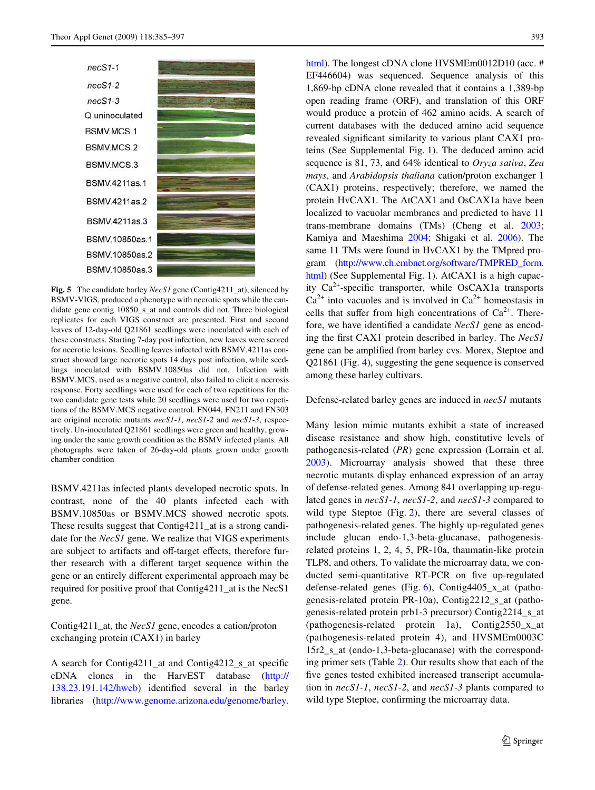

**Fig. 5** The candidate barley *NecS1* gene (Contig4211\_at), silenced by BSMV-VIGS, produced a phenotype with necrotic spots while the candidate gene contig 10850\_s\_at and controls did not. Three biological replicates for each VIGS construct are presented. First and second leaves of 12-day-old Q21861 seedlings were inoculated with each of these constructs. Starting 7-day post infection, new leaves were scored for necrotic lesions. Seedling leaves infected with BSMV.4211as construct showed large necrotic spots 14 days post infection, while seedlings inoculated with BSMV.10850as did not. Infection with BSMV.MCS, used as a negative control, also failed to elicit a necrosis response. Forty seedlings were used for each of two repetitions for the two candidate gene tests while 20 seedlings were used for two repetitions of the BSMV.MCS negative control. FN044, FN211 and FN303 are original necrotic mutants *necS1-1*, *necS1-2* and *necS1-3*, respectively. Un-inoculated Q21861 seedlings were green and healthy, growing under the same growth condition as the BSMV infected plants. All photographs were taken of 26-day-old plants grown under growth chamber condition

BSMV.4211as infected plants developed necrotic spots. In contrast, none of the 40 plants infected each with BSMV.10850as or BSMV.MCS showed necrotic spots. These results suggest that Contig4211 at is a strong candidate for the *NecS1* gene. We realize that VIGS experiments are subject to artifacts and off-target effects, therefore further research with a different target sequence within the gene or an entirely different experimental approach may be required for positive proof that Contig4211\_at is the NecS1 gene.

Contig4211\_at, the *NecS1* gene, encodes a cation/proton exchanging protein (CAX1) in barley

A search for Contig4211\_at and Contig4212\_s\_at specific cDNA clones in the HarvEST database [\(http://](http://138.23.191.142/hweb)  $138.23.191.142/hweb$  identified several in the barley libraries ([http://www.genome.arizona.edu/genome/barley.](http://www.genome.arizona.edu/genome/barley.html) [html](http://www.genome.arizona.edu/genome/barley.html)). The longest cDNA clone HVSMEm0012D10 (acc. # EF446604) was sequenced. Sequence analysis of this 1,869-bp cDNA clone revealed that it contains a 1,389-bp open reading frame (ORF), and translation of this ORF would produce a protein of 462 amino acids. A search of current databases with the deduced amino acid sequence revealed significant similarity to various plant CAX1 proteins (See Supplemental Fig. 1). The deduced amino acid sequence is 81, 73, and 64% identical to *Oryza sativa*, *Zea mays*, and *Arabidopsis thaliana* cation/proton exchanger 1 (CAX1) proteins, respectively; therefore, we named the protein HvCAX1. The AtCAX1 and OsCAX1a have been localized to vacuolar membranes and predicted to have 11 trans-membrane domains (TMs) (Cheng et al. [2003;](#page-11-8) Kamiya and Maeshima [2004](#page-11-15); Shigaki et al. [2006](#page-12-16)). The same 11 TMs were found in HvCAX1 by the TMpred program ([http://www.ch.embnet.org/software/TMPRED\\_form.](http://www.ch.embnet.org/software/TMPRED_form.html) [html\)](http://www.ch.embnet.org/software/TMPRED_form.html) (See Supplemental Fig. 1). AtCAX1 is a high capacity  $Ca^{2+}$ -specific transporter, while OsCAX1a transports  $Ca<sup>2+</sup>$  into vacuoles and is involved in  $Ca<sup>2+</sup>$  homeostasis in cells that suffer from high concentrations of  $Ca^{2+}$ . Therefore, we have identified a candidate *NecS1* gene as encoding the first CAX1 protein described in barley. The *NecS1* gene can be amplified from barley cvs. Morex, Steptoe and Q21861 (Fig. [4](#page-6-0)), suggesting the gene sequence is conserved among these barley cultivars.

Defense-related barley genes are induced in *necS1* mutants

<span id="page-8-0"></span>Many lesion mimic mutants exhibit a state of increased disease resistance and show high, constitutive levels of pathogenesis-related (*PR*) gene expression (Lorrain et al. [2003](#page-12-1)). Microarray analysis showed that these three necrotic mutants display enhanced expression of an array of defense-related genes. Among 841 overlapping up-regulated genes in *necS1-1*, *necS1-2*, and *necS1-3* compared to wild type Steptoe (Fig. [2](#page-4-1)), there are several classes of pathogenesis-related genes. The highly up-regulated genes include glucan endo-1,3-beta-glucanase, pathogenesisrelated proteins 1, 2, 4, 5, PR-10a, thaumatin-like protein TLP8, and others. To validate the microarray data, we conducted semi-quantitative RT-PCR on five up-regulated defense-related genes (Fig. [6\)](#page-8-0), Contig4405\_x\_at (pathogenesis-related protein PR-10a), Contig2212\_s\_at (pathogenesis-related protein prb1-3 precursor) Contig2214\_s\_at (pathogenesis-related protein 1a), Contig2550\_x\_at (pathogenesis-related protein 4), and HVSMEm0003C 15r2\_s\_at (endo-1,3-beta-glucanase) with the corresponding primer sets (Table [2\)](#page-5-0). Our results show that each of the five genes tested exhibited increased transcript accumulation in *necS1-1*, *necS1-2*, and *necS1-3* plants compared to wild type Steptoe, confirming the microarray data.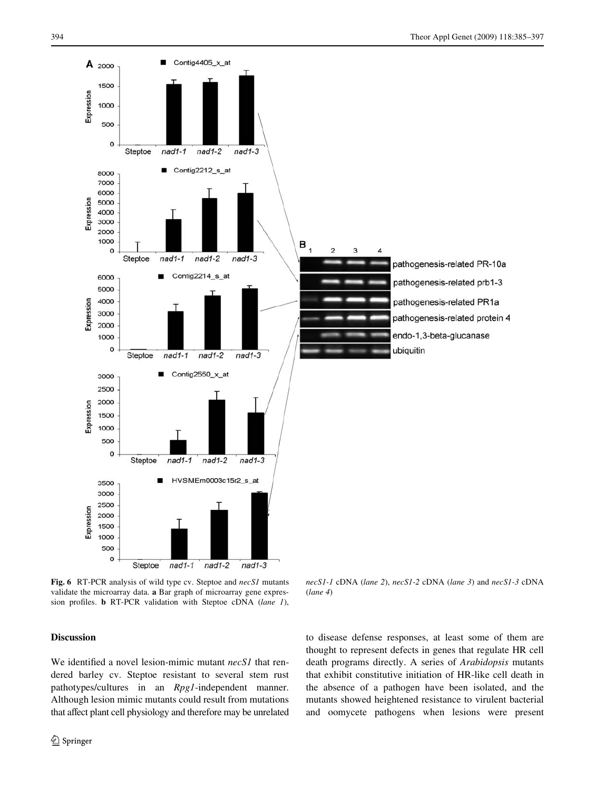

**Fig. 6** RT-PCR analysis of wild type cv. Steptoe and *necS1* mutants validate the microarray data. **a** Bar graph of microarray gene expression profiles. **b** RT-PCR validation with Steptoe cDNA (lane 1),

## **Discussion**

We identified a novel lesion-mimic mutant *necS1* that rendered barley cv. Steptoe resistant to several stem rust pathotypes/cultures in an *Rpg1*-independent manner. Although lesion mimic mutants could result from mutations that affect plant cell physiology and therefore may be unrelated

*necS1-1* cDNA (*lane 2*), *necS1-2* cDNA (*lane 3*) and *necS1-3* cDNA (*lane 4*)

to disease defense responses, at least some of them are thought to represent defects in genes that regulate HR cell death programs directly. A series of *Arabidopsis* mutants that exhibit constitutive initiation of HR-like cell death in the absence of a pathogen have been isolated, and the mutants showed heightened resistance to virulent bacterial and oomycete pathogens when lesions were present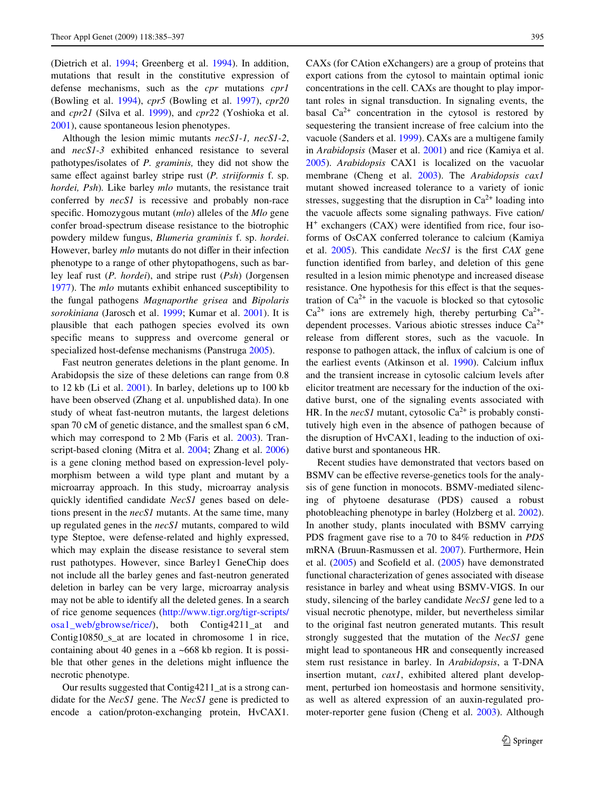(Dietrich et al. [1994](#page-11-16); Greenberg et al. [1994](#page-11-17)). In addition, mutations that result in the constitutive expression of defense mechanisms, such as the *cpr* mutations *cpr1* (Bowling et al. [1994\)](#page-11-18), *cpr5* (Bowling et al. [1997](#page-11-19)), *cpr20* and *cpr21* (Silva et al. [1999](#page-12-17)), and *cpr22* (Yoshioka et al. [2001](#page-12-18)), cause spontaneous lesion phenotypes.

Although the lesion mimic mutants *necS1-1, necS1-2*, and *necS1-3* exhibited enhanced resistance to several pathotypes/isolates of *P. graminis,* they did not show the same effect against barley stripe rust (*P. striiformis* f. sp. *hordei, Psh*)*.* Like barley *mlo* mutants, the resistance trait conferred by *necS1* is recessive and probably non-race specific. Homozygous mutant (*mlo*) alleles of the *Mlo* gene confer broad-spectrum disease resistance to the biotrophic powdery mildew fungus, *Blumeria graminis* f. sp. *hordei*. However, barley *mlo* mutants do not differ in their infection phenotype to a range of other phytopathogens, such as barley leaf rust (*P. hordei*), and stripe rust (*Psh*) (Jorgensen [1977](#page-11-20)). The *mlo* mutants exhibit enhanced susceptibility to the fungal pathogens *Magnaporthe grisea* and *Bipolaris sorokiniana* (Jarosch et al. [1999;](#page-11-21) Kumar et al. [2001\)](#page-12-19). It is plausible that each pathogen species evolved its own specific means to suppress and overcome general or specialized host-defense mechanisms (Panstruga [2005](#page-12-20)).

Fast neutron generates deletions in the plant genome. In Arabidopsis the size of these deletions can range from 0.8 to 12 kb (Li et al. [2001\)](#page-12-13). In barley, deletions up to 100 kb have been observed (Zhang et al. unpublished data). In one study of wheat fast-neutron mutants, the largest deletions span 70 cM of genetic distance, and the smallest span 6 cM, which may correspond to 2 Mb (Faris et al. [2003](#page-11-22)). Transcript-based cloning (Mitra et al. [2004;](#page-12-21) Zhang et al. [2006\)](#page-12-22) is a gene cloning method based on expression-level polymorphism between a wild type plant and mutant by a microarray approach. In this study, microarray analysis quickly identified candidate *NecS1* genes based on deletions present in the *necS1* mutants. At the same time, many up regulated genes in the *necS1* mutants, compared to wild type Steptoe, were defense-related and highly expressed, which may explain the disease resistance to several stem rust pathotypes. However, since Barley1 GeneChip does not include all the barley genes and fast-neutron generated deletion in barley can be very large, microarray analysis may not be able to identify all the deleted genes. In a search of rice genome sequences ([http://www.tigr.org/tigr-scripts/](http://www.tigr.org/tigr-scripts/osa1_web/gbrowse/rice/) [osa1\\_web/gbrowse/rice/](http://www.tigr.org/tigr-scripts/osa1_web/gbrowse/rice/)), both Contig4211\_at and Contig10850\_s\_at are located in chromosome 1 in rice, containing about 40 genes in a ~668 kb region. It is possible that other genes in the deletions might influence the necrotic phenotype.

Our results suggested that Contig4211\_at is a strong candidate for the *NecS1* gene. The *NecS1* gene is predicted to encode a cation/proton-exchanging protein, HvCAX1.

CAXs (for CAtion eXchangers) are a group of proteins that export cations from the cytosol to maintain optimal ionic concentrations in the cell. CAXs are thought to play important roles in signal transduction. In signaling events, the basal  $Ca^{2+}$  concentration in the cytosol is restored by sequestering the transient increase of free calcium into the vacuole (Sanders et al. [1999\)](#page-12-6). CAXs are a multigene family in *Arabidopsis* (Maser et al. [2001\)](#page-12-23) and rice (Kamiya et al. [2005](#page-11-23)). *Arabidopsis* CAX1 is localized on the vacuolar membrane (Cheng et al. [2003](#page-11-8)). The *Arabidopsis cax1* mutant showed increased tolerance to a variety of ionic stresses, suggesting that the disruption in  $Ca^{2+}$  loading into the vacuole affects some signaling pathways. Five cation/  $H^+$  exchangers (CAX) were identified from rice, four isoforms of OsCAX conferred tolerance to calcium (Kamiya et al. [2005](#page-11-23)). This candidate *NecS1* is the first *CAX* gene function identified from barley, and deletion of this gene resulted in a lesion mimic phenotype and increased disease resistance. One hypothesis for this effect is that the sequestration of  $Ca^{2+}$  in the vacuole is blocked so that cytosolic  $Ca^{2+}$  ions are extremely high, thereby perturbing  $Ca^{2+}$ dependent processes. Various abiotic stresses induce  $Ca^{2+}$ release from different stores, such as the vacuole. In response to pathogen attack, the influx of calcium is one of the earliest events (Atkinson et al. [1990](#page-11-24)). Calcium influx and the transient increase in cytosolic calcium levels after elicitor treatment are necessary for the induction of the oxidative burst, one of the signaling events associated with HR. In the *necS1* mutant, cytosolic  $Ca^{2+}$  is probably constitutively high even in the absence of pathogen because of the disruption of HvCAX1, leading to the induction of oxidative burst and spontaneous HR.

Recent studies have demonstrated that vectors based on BSMV can be effective reverse-genetics tools for the analysis of gene function in monocots. BSMV-mediated silencing of phytoene desaturase (PDS) caused a robust photobleaching phenotype in barley (Holzberg et al. [2002](#page-11-12)). In another study, plants inoculated with BSMV carrying PDS fragment gave rise to a 70 to 84% reduction in *PDS* mRNA (Bruun-Rasmussen et al. [2007\)](#page-11-25). Furthermore, Hein et al.  $(2005)$  $(2005)$  and Scofield et al.  $(2005)$  have demonstrated functional characterization of genes associated with disease resistance in barley and wheat using BSMV-VIGS. In our study, silencing of the barley candidate *NecS1* gene led to a visual necrotic phenotype, milder, but nevertheless similar to the original fast neutron generated mutants. This result strongly suggested that the mutation of the *NecS1* gene might lead to spontaneous HR and consequently increased stem rust resistance in barley. In *Arabidopsis*, a T-DNA insertion mutant, *cax1*, exhibited altered plant development, perturbed ion homeostasis and hormone sensitivity, as well as altered expression of an auxin-regulated promoter-reporter gene fusion (Cheng et al. [2003\)](#page-11-8). Although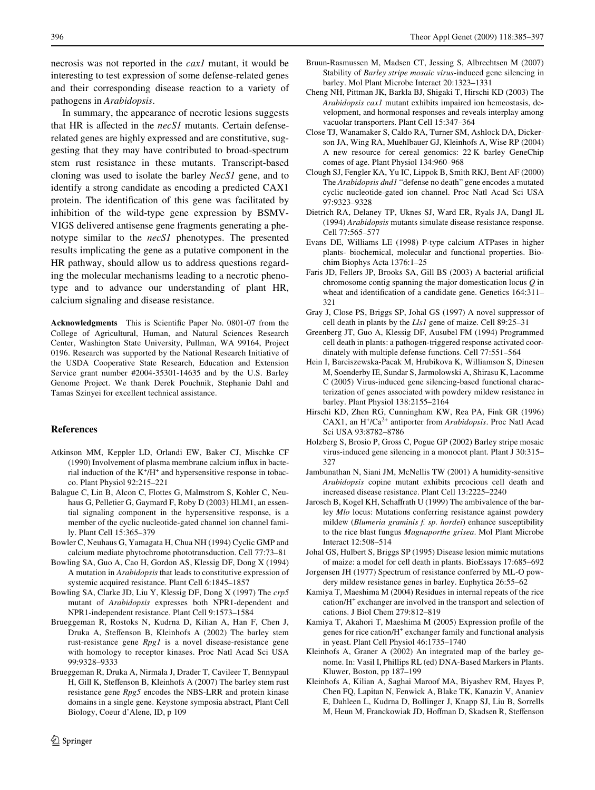necrosis was not reported in the *cax1* mutant, it would be interesting to test expression of some defense-related genes and their corresponding disease reaction to a variety of pathogens in *Arabidopsis*.

In summary, the appearance of necrotic lesions suggests that HR is affected in the *necS1* mutants. Certain defenserelated genes are highly expressed and are constitutive, suggesting that they may have contributed to broad-spectrum stem rust resistance in these mutants. Transcript-based cloning was used to isolate the barley *NecS1* gene, and to identify a strong candidate as encoding a predicted CAX1 protein. The identification of this gene was facilitated by inhibition of the wild-type gene expression by BSMV-VIGS delivered antisense gene fragments generating a phenotype similar to the *necS1* phenotypes. The presented results implicating the gene as a putative component in the HR pathway, should allow us to address questions regarding the molecular mechanisms leading to a necrotic phenotype and to advance our understanding of plant HR, calcium signaling and disease resistance.

**Acknowledgments** This is Scientific Paper No. 0801-07 from the College of Agricultural, Human, and Natural Sciences Research Center, Washington State University, Pullman, WA 99164, Project 0196. Research was supported by the National Research Initiative of the USDA Cooperative State Research, Education and Extension Service grant number #2004-35301-14635 and by the U.S. Barley Genome Project. We thank Derek Pouchnik, Stephanie Dahl and Tamas Szinyei for excellent technical assistance.

# **References**

- <span id="page-11-24"></span>Atkinson MM, Keppler LD, Orlandi EW, Baker CJ, Mischke CF (1990) Involvement of plasma membrane calcium influx in bacterial induction of the  $K^+/H^+$  and hypersensitive response in tobacco. Plant Physiol 92:215–221
- <span id="page-11-2"></span>Balague C, Lin B, Alcon C, Flottes G, Malmstrom S, Kohler C, Neuhaus G, Pelletier G, Gaymard F, Roby D (2003) HLM1, an essential signaling component in the hypersensitive response, is a member of the cyclic nucleotide-gated channel ion channel family. Plant Cell 15:365–379
- <span id="page-11-5"></span>Bowler C, Neuhaus G, Yamagata H, Chua NH (1994) Cyclic GMP and calcium mediate phytochrome phototransduction. Cell 77:73–81
- <span id="page-11-18"></span>Bowling SA, Guo A, Cao H, Gordon AS, Klessig DF, Dong X (1994) A mutation in *Arabidopsis* that leads to constitutive expression of systemic acquired resistance. Plant Cell 6:1845–1857
- <span id="page-11-19"></span>Bowling SA, Clarke JD, Liu Y, Klessig DF, Dong X (1997) The *crp5* mutant of *Arabidopsis* expresses both NPR1-dependent and NPR1-independent resistance. Plant Cell 9:1573–1584
- <span id="page-11-9"></span>Brueggeman R, Rostoks N, Kudrna D, Kilian A, Han F, Chen J, Druka A, Steffenson B, Kleinhofs A (2002) The barley stem rust-resistance gene *Rpg1* is a novel disease-resistance gene with homology to receptor kinases. Proc Natl Acad Sci USA 99:9328–9333
- <span id="page-11-14"></span>Brueggeman R, Druka A, Nirmala J, Drader T, Cavileer T, Bennypaul H, Gill K, Steffenson B, Kleinhofs A (2007) The barley stem rust resistance gene *Rpg5* encodes the NBS-LRR and protein kinase domains in a single gene. Keystone symposia abstract, Plant Cell Biology, Coeur d'Alene, ID, p 109
- <span id="page-11-25"></span>Bruun-Rasmussen M, Madsen CT, Jessing S, Albrechtsen M (2007) Stability of *Barley stripe mosaic virus*-induced gene silencing in barley. Mol Plant Microbe Interact 20:1323–1331
- <span id="page-11-8"></span>Cheng NH, Pittman JK, Barkla BJ, Shigaki T, Hirschi KD (2003) The *Arabidopsis cax1* mutant exhibits impaired ion hemeostasis, development, and hormonal responses and reveals interplay among vacuolar transporters. Plant Cell 15:347–364
- <span id="page-11-13"></span>Close TJ, Wanamaker S, Caldo RA, Turner SM, Ashlock DA, Dickerson JA, Wing RA, Muehlbauer GJ, Kleinhofs A, Wise RP (2004) A new resource for cereal genomics: 22 K barley GeneChip comes of age. Plant Physiol 134:960–968
- <span id="page-11-3"></span>Clough SJ, Fengler KA, Yu IC, Lippok B, Smith RKJ, Bent AF (2000) The *Arabidopsis dnd1* "defense no death" gene encodes a mutated cyclic nucleotide-gated ion channel. Proc Natl Acad Sci USA 97:9323–9328
- <span id="page-11-16"></span>Dietrich RA, Delaney TP, Uknes SJ, Ward ER, Ryals JA, Dangl JL (1994) *Arabidopsis* mutants simulate disease resistance response. Cell 77:565–577
- <span id="page-11-6"></span>Evans DE, Williams LE (1998) P-type calcium ATPases in higher plants- biochemical, molecular and functional properties. Biochim Biophys Acta 1376:1–25
- <span id="page-11-22"></span>Faris JD, Fellers JP, Brooks SA, Gill BS (2003) A bacterial artificial chromosome contig spanning the major domestication locus *Q* in wheat and identification of a candidate gene. Genetics 164:311-321
- <span id="page-11-1"></span>Gray J, Close PS, Briggs SP, Johal GS (1997) A novel suppressor of cell death in plants by the *Lls1* gene of maize. Cell 89:25–31
- <span id="page-11-17"></span>Greenberg JT, Guo A, Klessig DF, Ausubel FM (1994) Programmed cell death in plants: a pathogen-triggered response activated coordinately with multiple defense functions. Cell 77:551–564
- <span id="page-11-26"></span>Hein I, Barciszewska-Pacak M, Hrubikova K, Williamson S, Dinesen M, Soenderby IE, Sundar S, Jarmolowski A, Shirasu K, Lacomme C (2005) Virus-induced gene silencing-based functional characterization of genes associated with powdery mildew resistance in barley. Plant Physiol 138:2155–2164
- <span id="page-11-7"></span>Hirschi KD, Zhen RG, Cunningham KW, Rea PA, Fink GR (1996) CAX1, an H+/Ca2+ antiporter from *Arabidopsis*. Proc Natl Acad Sci USA 93:8782–8786
- <span id="page-11-12"></span>Holzberg S, Brosio P, Gross C, Pogue GP (2002) Barley stripe mosaic virus-induced gene silencing in a monocot plant. Plant J 30:315– 327
- <span id="page-11-4"></span>Jambunathan N, Siani JM, McNellis TW (2001) A humidity-sensitive *Arabidopsis* copine mutant exhibits prcocious cell death and increased disease resistance. Plant Cell 13:2225–2240
- <span id="page-11-21"></span>Jarosch B, Kogel KH, Schaffrath U (1999) The ambivalence of the barley *Mlo* locus: Mutations conferring resistance against powdery mildew (*Blumeria graminis f. sp. hordei*) enhance susceptibility to the rice blast fungus *Magnaporthe grisea*. Mol Plant Microbe Interact 12:508–514
- <span id="page-11-0"></span>Johal GS, Hulbert S, Briggs SP (1995) Disease lesion mimic mutations of maize: a model for cell death in plants. BioEssays 17:685–692
- <span id="page-11-20"></span>Jorgensen JH (1977) Spectrum of resistance conferred by ML-O powdery mildew resistance genes in barley. Euphytica 26:55–62
- <span id="page-11-15"></span>Kamiya T, Maeshima M (2004) Residues in internal repeats of the rice cation/H<sup>+</sup> exchanger are involved in the transport and selection of cations. J Biol Chem 279:812–819
- <span id="page-11-23"></span>Kamiya T, Akahori T, Maeshima M (2005) Expression profile of the genes for rice cation/H<sup>+</sup> exchanger family and functional analysis in yeast. Plant Cell Physiol 46:1735–1740
- <span id="page-11-11"></span>Kleinhofs A, Graner A (2002) An integrated map of the barley genome. In: Vasil I, Phillips RL (ed) DNA-Based Markers in Plants. Kluwer, Boston, pp 187–199
- <span id="page-11-10"></span>Kleinhofs A, Kilian A, Saghai Maroof MA, Biyashev RM, Hayes P, Chen FQ, Lapitan N, Fenwick A, Blake TK, Kanazin V, Ananiev E, Dahleen L, Kudrna D, Bollinger J, Knapp SJ, Liu B, Sorrells M, Heun M, Franckowiak JD, Hoffman D, Skadsen R, Steffenson